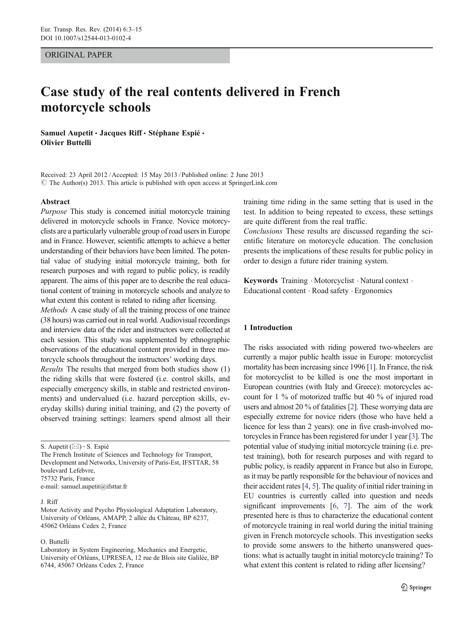# ORIGINAL PAPER

# Case study of the real contents delivered in French motorcycle schools

Samuel Aupetit · Jacques Riff · Stéphane Espié · Olivier Buttelli

Received: 23 April 2012 /Accepted: 15 May 2013 / Published online: 2 June 2013  $\odot$  The Author(s) 2013. This article is published with open access at SpringerLink.com

#### Abstract

Purpose This study is concerned initial motorcycle training delivered in motorcycle schools in France. Novice motorcyclists are a particularly vulnerable group of road users in Europe and in France. However, scientific attempts to achieve a better understanding of their behaviors have been limited. The potential value of studying initial motorcycle training, both for research purposes and with regard to public policy, is readily apparent. The aims of this paper are to describe the real educational content of training in motorcycle schools and analyze to what extent this content is related to riding after licensing.

Methods A case study of all the training process of one trainee (38 hours) was carried out in real world. Audiovisual recordings and interview data of the rider and instructors were collected at each session. This study was supplemented by ethnographic observations of the educational content provided in three motorcycle schools throughout the instructors' working days.

Results The results that merged from both studies show (1) the riding skills that were fostered (i.e. control skills, and especially emergency skills, in stable and restricted environments) and undervalued (i.e. hazard perception skills, everyday skills) during initial training, and (2) the poverty of observed training settings: learners spend almost all their

S. Aupetit  $(\boxtimes) \cdot$  S. Espié

The French Institute of Sciences and Technology for Transport, Development and Networks, University of Paris-Est, IFSTTAR, 58 boulevard Lefebvre, 75732 Paris, France e-mail: samuel.aupetit@ifsttar.fr

#### J. Riff

# O. Buttelli

training time riding in the same setting that is used in the test. In addition to being repeated to excess, these settings are quite different from the real traffic.

Conclusions These results are discussed regarding the scientific literature on motorcycle education. The conclusion presents the implications of these results for public policy in order to design a future rider training system.

Keywords Training · Motorcyclist · Natural context · Educational content . Road safety . Ergonomics

# 1 Introduction

The risks associated with riding powered two-wheelers are currently a major public health issue in Europe: motorcyclist mortality has been increasing since 1996 [\[1\]](#page-11-0). In France, the risk for motorcyclist to be killed is one the most important in European countries (with Italy and Greece): motorcycles account for 1 % of motorized traffic but 40 % of injured road users and almost 20 % of fatalities [\[2](#page-11-0)]. These worrying data are especially extreme for novice riders (those who have held a licence for less than 2 years): one in five crash-involved motorcycles in France has been registered for under 1 year [\[3\]](#page-11-0). The potential value of studying initial motorcycle training (i.e. pretest training), both for research purposes and with regard to public policy, is readily apparent in France but also in Europe, as it may be partly responsible for the behaviour of novices and their accident rates [[4,](#page-11-0) [5](#page-11-0)]. The quality of initial rider training in EU countries is currently called into question and needs significant improvements [\[6](#page-11-0), [7\]](#page-11-0). The aim of the work presented here is thus to characterize the educational content of motorcycle training in real world during the initial training given in French motorcycle schools. This investigation seeks to provide some answers to the hitherto unanswered questions: what is actually taught in initial motorcycle training? To what extent this content is related to riding after licensing?

Motor Activity and Psycho Physiological Adaptation Laboratory, University of Orléans, AMAPP, 2 allée du Château, BP 6237, 45062 Orléans Cedex 2, France

Laboratory in System Engineering, Mechanics and Energetic, University of Orléans, UPRESEA, 12 rue de Blois site Galilée, BP 6744, 45067 Orléans Cedex 2, France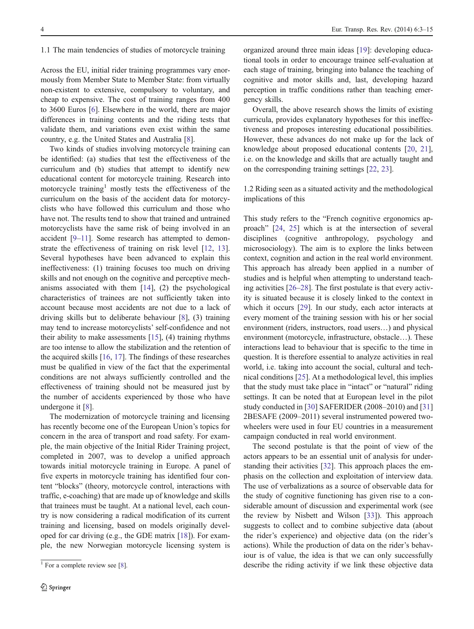# 1.1 The main tendencies of studies of motorcycle training

Across the EU, initial rider training programmes vary enormously from Member State to Member State: from virtually non-existent to extensive, compulsory to voluntary, and cheap to expensive. The cost of training ranges from 400 to 3600 Euros [[6\]](#page-11-0). Elsewhere in the world, there are major differences in training contents and the riding tests that validate them, and variations even exist within the same country, e.g. the United States and Australia [[8\]](#page-11-0).

Two kinds of studies involving motorcycle training can be identified: (a) studies that test the effectiveness of the curriculum and (b) studies that attempt to identify new educational content for motorcycle training. Research into motorcycle training<sup>1</sup> mostly tests the effectiveness of the curriculum on the basis of the accident data for motorcyclists who have followed this curriculum and those who have not. The results tend to show that trained and untrained motorcyclists have the same risk of being involved in an accident [[9](#page-11-0)–[11](#page-11-0)]. Some research has attempted to demonstrate the effectiveness of training on risk level [[12,](#page-11-0) [13](#page-11-0)]. Several hypotheses have been advanced to explain this ineffectiveness: (1) training focuses too much on driving skills and not enough on the cognitive and perceptive mechanisms associated with them [[14\]](#page-11-0), (2) the psychological characteristics of trainees are not sufficiently taken into account because most accidents are not due to a lack of driving skills but to deliberate behaviour [[8\]](#page-11-0), (3) training may tend to increase motorcyclists' self-confidence and not their ability to make assessments [[15\]](#page-11-0), (4) training rhythms are too intense to allow the stabilization and the retention of the acquired skills [[16,](#page-11-0) [17\]](#page-11-0). The findings of these researches must be qualified in view of the fact that the experimental conditions are not always sufficiently controlled and the effectiveness of training should not be measured just by the number of accidents experienced by those who have undergone it [\[8](#page-11-0)].

The modernization of motorcycle training and licensing has recently become one of the European Union's topics for concern in the area of transport and road safety. For example, the main objective of the Initial Rider Training project, completed in 2007, was to develop a unified approach towards initial motorcycle training in Europe. A panel of five experts in motorcycle training has identified four content "blocks" (theory, motorcycle control, interactions with traffic, e-coaching) that are made up of knowledge and skills that trainees must be taught. At a national level, each country is now considering a radical modification of its current training and licensing, based on models originally developed for car driving (e.g., the GDE matrix [\[18](#page-11-0)]). For example, the new Norwegian motorcycle licensing system is

organized around three main ideas [[19\]](#page-11-0): developing educational tools in order to encourage trainee self-evaluation at each stage of training, bringing into balance the teaching of cognitive and motor skills and, last, developing hazard perception in traffic conditions rather than teaching emergency skills.

Overall, the above research shows the limits of existing curricula, provides explanatory hypotheses for this ineffectiveness and proposes interesting educational possibilities. However, these advances do not make up for the lack of knowledge about proposed educational contents [[20,](#page-11-0) [21\]](#page-11-0), i.e. on the knowledge and skills that are actually taught and on the corresponding training settings [[22,](#page-11-0) [23](#page-11-0)].

1.2 Riding seen as a situated activity and the methodological implications of this

This study refers to the "French cognitive ergonomics approach" [[24,](#page-11-0) [25](#page-11-0)] which is at the intersection of several disciplines (cognitive anthropology, psychology and microsociology). The aim is to explore the links between context, cognition and action in the real world environment. This approach has already been applied in a number of studies and is helpful when attempting to understand teaching activities [[26](#page-11-0)–[28\]](#page-11-0). The first postulate is that every activity is situated because it is closely linked to the context in which it occurs [\[29](#page-11-0)]. In our study, each actor interacts at every moment of the training session with his or her social environment (riders, instructors, road users…) and physical environment (motorcycle, infrastructure, obstacle…). These interactions lead to behaviour that is specific to the time in question. It is therefore essential to analyze activities in real world, i.e. taking into account the social, cultural and technical conditions [\[25](#page-11-0)]. At a methodological level, this implies that the study must take place in "intact" or "natural" riding settings. It can be noted that at European level in the pilot study conducted in [[30\]](#page-11-0) SAFERIDER (2008–2010) and [\[31](#page-11-0)] 2BESAFE (2009–2011) several instrumented powered twowheelers were used in four EU countries in a measurement campaign conducted in real world environment.

The second postulate is that the point of view of the actors appears to be an essential unit of analysis for understanding their activities [\[32](#page-11-0)]. This approach places the emphasis on the collection and exploitation of interview data. The use of verbalizations as a source of observable data for the study of cognitive functioning has given rise to a considerable amount of discussion and experimental work (see the review by Nisbett and Wilson [[33\]](#page-11-0)). This approach suggests to collect and to combine subjective data (about the rider's experience) and objective data (on the rider's actions). While the production of data on the rider's behaviour is of value, the idea is that we can only successfully <sup>1</sup> For a complete review see [\[8\]](#page-11-0). **Example 1 Room in the riding activity** if we link these objective data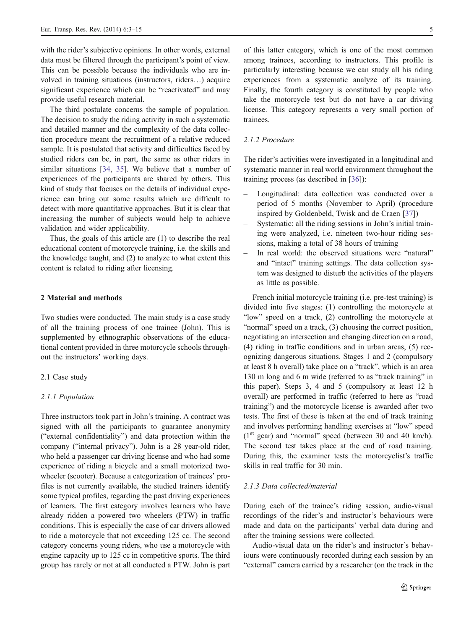with the rider's subjective opinions. In other words, external data must be filtered through the participant's point of view. This can be possible because the individuals who are involved in training situations (instructors, riders…) acquire significant experience which can be "reactivated" and may provide useful research material.

The third postulate concerns the sample of population. The decision to study the riding activity in such a systematic and detailed manner and the complexity of the data collection procedure meant the recruitment of a relative reduced sample. It is postulated that activity and difficulties faced by studied riders can be, in part, the same as other riders in similar situations [[34,](#page-11-0) [35\]](#page-11-0). We believe that a number of experiences of the participants are shared by others. This kind of study that focuses on the details of individual experience can bring out some results which are difficult to detect with more quantitative approaches. But it is clear that increasing the number of subjects would help to achieve validation and wider applicability.

Thus, the goals of this article are (1) to describe the real educational content of motorcycle training, i.e. the skills and the knowledge taught, and (2) to analyze to what extent this content is related to riding after licensing.

# 2 Material and methods

Two studies were conducted. The main study is a case study of all the training process of one trainee (John). This is supplemented by ethnographic observations of the educational content provided in three motorcycle schools throughout the instructors' working days.

# 2.1 Case study

#### 2.1.1 Population

Three instructors took part in John's training. A contract was signed with all the participants to guarantee anonymity ("external confidentiality") and data protection within the company ("internal privacy"). John is a 28 year-old rider, who held a passenger car driving license and who had some experience of riding a bicycle and a small motorized twowheeler (scooter). Because a categorization of trainees' profiles is not currently available, the studied trainers identify some typical profiles, regarding the past driving experiences of learners. The first category involves learners who have already ridden a powered two wheelers (PTW) in traffic conditions. This is especially the case of car drivers allowed to ride a motorcycle that not exceeding 125 cc. The second category concerns young riders, who use a motorcycle with engine capacity up to 125 cc in competitive sports. The third group has rarely or not at all conducted a PTW. John is part of this latter category, which is one of the most common among trainees, according to instructors. This profile is particularly interesting because we can study all his riding experiences from a systematic analyze of its training. Finally, the fourth category is constituted by people who take the motorcycle test but do not have a car driving license. This category represents a very small portion of trainees.

# 2.1.2 Procedure

The rider's activities were investigated in a longitudinal and systematic manner in real world environment throughout the training process (as described in [[36\]](#page-11-0)):

- Longitudinal: data collection was conducted over a period of 5 months (November to April) (procedure inspired by Goldenbeld, Twisk and de Craen [\[37](#page-11-0)])
- Systematic: all the riding sessions in John's initial training were analyzed, i.e. nineteen two-hour riding sessions, making a total of 38 hours of training
- In real world: the observed situations were "natural" and "intact" training settings. The data collection system was designed to disturb the activities of the players as little as possible.

French initial motorcycle training (i.e. pre-test training) is divided into five stages: (1) controlling the motorcycle at "low" speed on a track, (2) controlling the motorcycle at "normal" speed on a track, (3) choosing the correct position, negotiating an intersection and changing direction on a road, (4) riding in traffic conditions and in urban areas, (5) recognizing dangerous situations. Stages 1 and 2 (compulsory at least 8 h overall) take place on a "track", which is an area 130 m long and 6 m wide (referred to as "track training" in this paper). Steps 3, 4 and 5 (compulsory at least 12 h overall) are performed in traffic (referred to here as "road training") and the motorcycle license is awarded after two tests. The first of these is taken at the end of track training and involves performing handling exercises at "low" speed  $(1<sup>st</sup> gear)$  and "normal" speed (between 30 and 40 km/h). The second test takes place at the end of road training. During this, the examiner tests the motorcyclist's traffic skills in real traffic for 30 min.

## 2.1.3 Data collected/material

During each of the trainee's riding session, audio-visual recordings of the rider's and instructor's behaviours were made and data on the participants' verbal data during and after the training sessions were collected.

Audio-visual data on the rider's and instructor's behaviours were continuously recorded during each session by an "external" camera carried by a researcher (on the track in the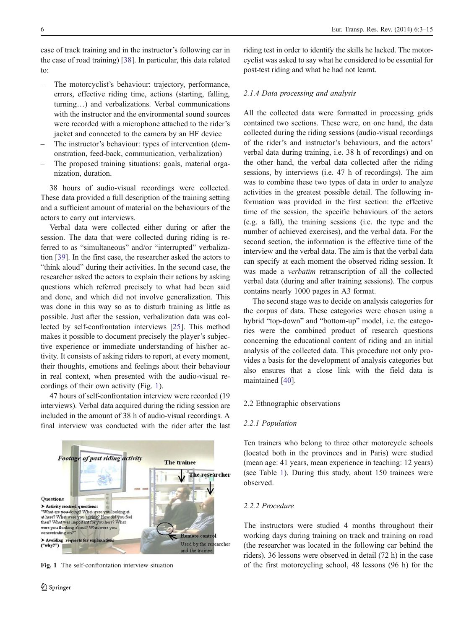case of track training and in the instructor's following car in the case of road training) [\[38](#page-11-0)]. In particular, this data related to:

- The motorcyclist's behaviour: trajectory, performance, errors, effective riding time, actions (starting, falling, turning…) and verbalizations. Verbal communications with the instructor and the environmental sound sources were recorded with a microphone attached to the rider's jacket and connected to the camera by an HF device
- The instructor's behaviour: types of intervention (demonstration, feed-back, communication, verbalization)
- The proposed training situations: goals, material organization, duration.

38 hours of audio-visual recordings were collected. These data provided a full description of the training setting and a sufficient amount of material on the behaviours of the actors to carry out interviews.

Verbal data were collected either during or after the session. The data that were collected during riding is referred to as "simultaneous" and/or "interrupted" verbalization [\[39](#page-11-0)]. In the first case, the researcher asked the actors to "think aloud" during their activities. In the second case, the researcher asked the actors to explain their actions by asking questions which referred precisely to what had been said and done, and which did not involve generalization. This was done in this way so as to disturb training as little as possible. Just after the session, verbalization data was collected by self-confrontation interviews [\[25](#page-11-0)]. This method makes it possible to document precisely the player's subjective experience or immediate understanding of his/her activity. It consists of asking riders to report, at every moment, their thoughts, emotions and feelings about their behaviour in real context, when presented with the audio-visual recordings of their own activity (Fig. 1).

47 hours of self-confrontation interview were recorded (19 interviews). Verbal data acquired during the riding session are included in the amount of 38 h of audio-visual recordings. A final interview was conducted with the rider after the last



riding test in order to identify the skills he lacked. The motorcyclist was asked to say what he considered to be essential for post-test riding and what he had not learnt.

## 2.1.4 Data processing and analysis

All the collected data were formatted in processing grids contained two sections. These were, on one hand, the data collected during the riding sessions (audio-visual recordings of the rider's and instructor's behaviours, and the actors' verbal data during training, i.e. 38 h of recordings) and on the other hand, the verbal data collected after the riding sessions, by interviews (i.e. 47 h of recordings). The aim was to combine these two types of data in order to analyze activities in the greatest possible detail. The following information was provided in the first section: the effective time of the session, the specific behaviours of the actors (e.g. a fall), the training sessions (i.e. the type and the number of achieved exercises), and the verbal data. For the second section, the information is the effective time of the interview and the verbal data. The aim is that the verbal data can specify at each moment the observed riding session. It was made a verbatim retranscription of all the collected verbal data (during and after training sessions). The corpus contains nearly 1000 pages in A3 format.

The second stage was to decide on analysis categories for the corpus of data. These categories were chosen using a hybrid "top-down" and "bottom-up" model, i.e. the categories were the combined product of research questions concerning the educational content of riding and an initial analysis of the collected data. This procedure not only provides a basis for the development of analysis categories but also ensures that a close link with the field data is maintained [\[40](#page-11-0)].

#### 2.2 Ethnographic observations

#### 2.2.1 Population

Ten trainers who belong to three other motorcycle schools (located both in the provinces and in Paris) were studied (mean age: 41 years, mean experience in teaching: 12 years) (see Table [1](#page-4-0)). During this study, about 150 trainees were observed.

## 2.2.2 Procedure

The instructors were studied 4 months throughout their working days during training on track and training on road (the researcher was located in the following car behind the riders). 36 lessons were observed in detail (72 h) in the case Fig. 1 The self-confrontation interview situation of the first motorcycling school, 48 lessons (96 h) for the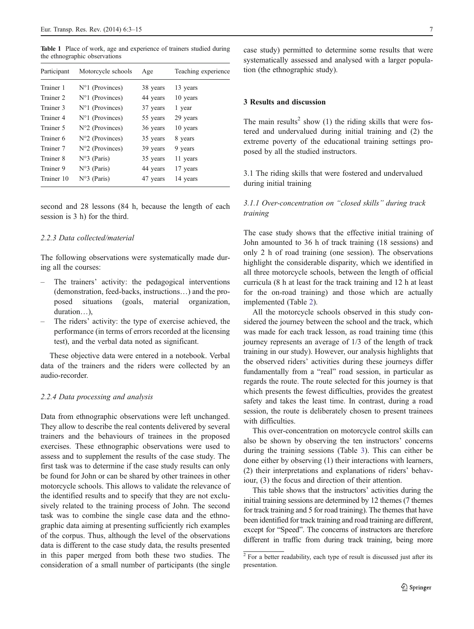<span id="page-4-0"></span>Table 1 Place of work, age and experience of trainers studied during the ethnographic observations

| Participant | Motorcycle schools       | Age      | Teaching experience |
|-------------|--------------------------|----------|---------------------|
| Trainer 1   | $N^{\circ}1$ (Provinces) | 38 years | 13 years            |
| Trainer 2   | $N^{\circ}1$ (Provinces) | 44 years | 10 years            |
| Trainer 3   | $N^{\circ}1$ (Provinces) | 37 years | 1 year              |
| Trainer 4   | $N^{\circ}1$ (Provinces) | 55 years | 29 years            |
| Trainer 5   | $N^{\circ}2$ (Provinces) | 36 years | 10 years            |
| Trainer 6   | $N°2$ (Provinces)        | 35 years | 8 years             |
| Trainer 7   | $N°2$ (Provinces)        | 39 years | 9 years             |
| Trainer 8   | $N^{\circ}3$ (Paris)     | 35 years | 11 years            |
| Trainer 9   | $N°3$ (Paris)            | 44 years | 17 years            |
| Trainer 10  | $N^{\circ}3$ (Paris)     | 47 years | 14 years            |
|             |                          |          |                     |

second and 28 lessons (84 h, because the length of each session is 3 h) for the third.

# 2.2.3 Data collected/material

The following observations were systematically made during all the courses:

- The trainers' activity: the pedagogical interventions (demonstration, feed-backs, instructions…) and the proposed situations (goals, material organization, duration…),
- The riders' activity: the type of exercise achieved, the performance (in terms of errors recorded at the licensing test), and the verbal data noted as significant.

These objective data were entered in a notebook. Verbal data of the trainers and the riders were collected by an audio-recorder.

# 2.2.4 Data processing and analysis

Data from ethnographic observations were left unchanged. They allow to describe the real contents delivered by several trainers and the behaviours of trainees in the proposed exercises. These ethnographic observations were used to assess and to supplement the results of the case study. The first task was to determine if the case study results can only be found for John or can be shared by other trainees in other motorcycle schools. This allows to validate the relevance of the identified results and to specify that they are not exclusively related to the training process of John. The second task was to combine the single case data and the ethnographic data aiming at presenting sufficiently rich examples of the corpus. Thus, although the level of the observations data is different to the case study data, the results presented in this paper merged from both these two studies. The consideration of a small number of participants (the single

case study) permitted to determine some results that were systematically assessed and analysed with a larger population (the ethnographic study).

# 3 Results and discussion

The main results<sup>2</sup> show (1) the riding skills that were fostered and undervalued during initial training and (2) the extreme poverty of the educational training settings proposed by all the studied instructors.

3.1 The riding skills that were fostered and undervalued during initial training

# 3.1.1 Over-concentration on "closed skills" during track training

The case study shows that the effective initial training of John amounted to 36 h of track training (18 sessions) and only 2 h of road training (one session). The observations highlight the considerable disparity, which we identified in all three motorcycle schools, between the length of official curricula (8 h at least for the track training and 12 h at least for the on-road training) and those which are actually implemented (Table [2\)](#page-5-0).

All the motorcycle schools observed in this study considered the journey between the school and the track, which was made for each track lesson, as road training time (this journey represents an average of 1/3 of the length of track training in our study). However, our analysis highlights that the observed riders' activities during these journeys differ fundamentally from a "real" road session, in particular as regards the route. The route selected for this journey is that which presents the fewest difficulties, provides the greatest safety and takes the least time. In contrast, during a road session, the route is deliberately chosen to present trainees with difficulties.

This over-concentration on motorcycle control skills can also be shown by observing the ten instructors' concerns during the training sessions (Table [3\)](#page-5-0). This can either be done either by observing (1) their interactions with learners, (2) their interpretations and explanations of riders' behaviour, (3) the focus and direction of their attention.

This table shows that the instructors' activities during the initial training sessions are determined by 12 themes (7 themes for track training and 5 for road training). The themes that have been identified for track training and road training are different, except for "Speed". The concerns of instructors are therefore different in traffic from during track training, being more

<sup>&</sup>lt;sup>2</sup> For a better readability, each type of result is discussed just after its presentation.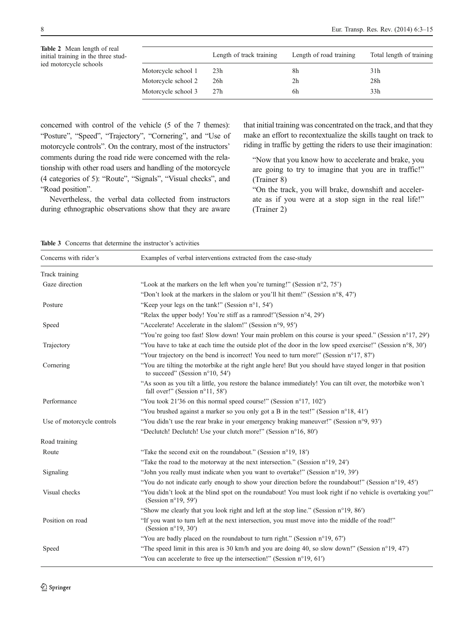<span id="page-5-0"></span>Table 2 Mean length of real initial training in the three studied motorcycle schools

|                     | Length of track training | Length of road training | Total length of training |
|---------------------|--------------------------|-------------------------|--------------------------|
| Motorcycle school 1 | 23h                      | 8h                      | 31 <sub>h</sub>          |
| Motorcycle school 2 | 26h                      | 2h                      | 28h                      |
| Motorcycle school 3 | 27 <sub>h</sub>          | 6h                      | 33h                      |

concerned with control of the vehicle (5 of the 7 themes): "Posture", "Speed", "Trajectory", "Cornering", and "Use of motorcycle controls". On the contrary, most of the instructors' comments during the road ride were concerned with the relationship with other road users and handling of the motorcycle (4 categories of 5): "Route", "Signals", "Visual checks", and "Road position".

Nevertheless, the verbal data collected from instructors during ethnographic observations show that they are aware that initial training was concentrated on the track, and that they make an effort to recontextualize the skills taught on track to riding in traffic by getting the riders to use their imagination:

"Now that you know how to accelerate and brake, you are going to try to imagine that you are in traffic!" (Trainer 8)

"On the track, you will brake, downshift and accelerate as if you were at a stop sign in the real life!" (Trainer 2)

Table 3 Concerns that determine the instructor's activities

| Concerns with rider's      | Examples of verbal interventions extracted from the case-study                                                                                |  |
|----------------------------|-----------------------------------------------------------------------------------------------------------------------------------------------|--|
| Track training             |                                                                                                                                               |  |
| Gaze direction             | "Look at the markers on the left when you're turning!" (Session n°2, 75')                                                                     |  |
|                            | "Don't look at the markers in the slalom or you'll hit them!" (Session n°8, 47')                                                              |  |
| Posture                    | "Keep your legs on the tank!" (Session n°1, 54')                                                                                              |  |
|                            | "Relax the upper body! You're stiff as a ramrod!"(Session n°4, 29')                                                                           |  |
| Speed                      | "Accelerate! Accelerate in the slalom!" (Session n°9, 95')                                                                                    |  |
|                            | "You're going too fast! Slow down! Your main problem on this course is your speed." (Session n°17, 29')                                       |  |
| Trajectory                 | "You have to take at each time the outside plot of the door in the low speed exercise!" (Session n°8, 30')                                    |  |
|                            | "Your trajectory on the bend is incorrect! You need to turn more!" (Session n°17, 87')                                                        |  |
| Cornering                  | "You are tilting the motorbike at the right angle here! But you should have stayed longer in that position<br>to succeed" (Session n°10, 54') |  |
|                            | "As soon as you tilt a little, you restore the balance immediately! You can tilt over, the motorbike won't<br>fall over!" (Session n°11, 58') |  |
| Performance                | "You took 21'36 on this normal speed course!" (Session n°17, 102')                                                                            |  |
|                            | "You brushed against a marker so you only got a B in the test!" (Session $n^{\circ}18$ , 41')                                                 |  |
| Use of motorcycle controls | "You didn't use the rear brake in your emergency braking maneuver!" (Session n°9, 93')                                                        |  |
|                            | "Declutch! Declutch! Use your clutch more!" (Session n°16, 80')                                                                               |  |
| Road training              |                                                                                                                                               |  |
| Route                      | "Take the second exit on the roundabout." (Session n°19, 18')                                                                                 |  |
|                            | "Take the road to the motorway at the next intersection." (Session n°19, 24')                                                                 |  |
| Signaling                  | "John you really must indicate when you want to overtake!" (Session n°19, 39')                                                                |  |
|                            | "You do not indicate early enough to show your direction before the roundabout!" (Session n°19, 45')                                          |  |
| Visual checks              | "You didn't look at the blind spot on the roundabout! You must look right if no vehicle is overtaking you!"<br>(Session $n^{\circ}19$ , 59')  |  |
|                            | "Show me clearly that you look right and left at the stop line." (Session n°19, 86')                                                          |  |
| Position on road           | "If you want to turn left at the next intersection, you must move into the middle of the road!"<br>(Session $n^{\circ}19$ , 30')              |  |
|                            | "You are badly placed on the roundabout to turn right." (Session n°19, 67')                                                                   |  |
| Speed                      | "The speed limit in this area is 30 km/h and you are doing 40, so slow down!" (Session $n^{\circ}19$ , 47')                                   |  |
|                            | "You can accelerate to free up the intersection!" (Session n°19, 61')                                                                         |  |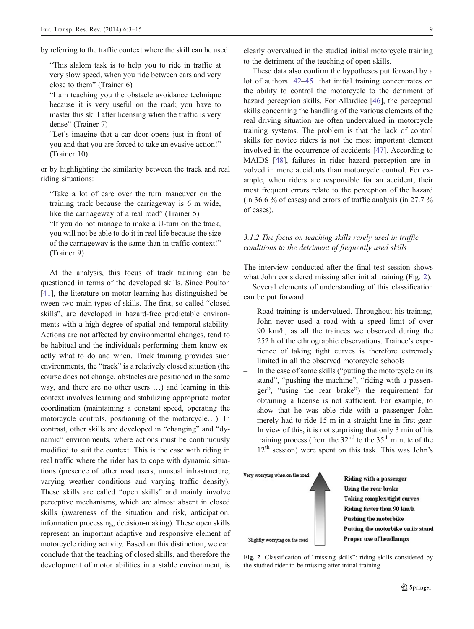by referring to the traffic context where the skill can be used:

"This slalom task is to help you to ride in traffic at very slow speed, when you ride between cars and very close to them" (Trainer 6)

"I am teaching you the obstacle avoidance technique because it is very useful on the road; you have to master this skill after licensing when the traffic is very dense" (Trainer 7)

"Let's imagine that a car door opens just in front of you and that you are forced to take an evasive action!" (Trainer 10)

or by highlighting the similarity between the track and real riding situations:

"Take a lot of care over the turn maneuver on the training track because the carriageway is 6 m wide, like the carriageway of a real road" (Trainer 5) "If you do not manage to make a U-turn on the track, you will not be able to do it in real life because the size of the carriageway is the same than in traffic context!" (Trainer 9)

At the analysis, this focus of track training can be questioned in terms of the developed skills. Since Poulton [\[41](#page-11-0)], the literature on motor learning has distinguished between two main types of skills. The first, so-called "closed skills", are developed in hazard-free predictable environments with a high degree of spatial and temporal stability. Actions are not affected by environmental changes, tend to be habitual and the individuals performing them know exactly what to do and when. Track training provides such environments, the "track" is a relatively closed situation (the course does not change, obstacles are positioned in the same way, and there are no other users …) and learning in this context involves learning and stabilizing appropriate motor coordination (maintaining a constant speed, operating the motorcycle controls, positioning of the motorcycle…). In contrast, other skills are developed in "changing" and "dynamic" environments, where actions must be continuously modified to suit the context. This is the case with riding in real traffic where the rider has to cope with dynamic situations (presence of other road users, unusual infrastructure, varying weather conditions and varying traffic density). These skills are called "open skills" and mainly involve perceptive mechanisms, which are almost absent in closed skills (awareness of the situation and risk, anticipation, information processing, decision-making). These open skills represent an important adaptive and responsive element of motorcycle riding activity. Based on this distinction, we can conclude that the teaching of closed skills, and therefore the development of motor abilities in a stable environment, is

clearly overvalued in the studied initial motorcycle training to the detriment of the teaching of open skills.

These data also confirm the hypotheses put forward by a lot of authors [[42](#page-11-0)–[45\]](#page-11-0) that initial training concentrates on the ability to control the motorcycle to the detriment of hazard perception skills. For Allardice [\[46](#page-11-0)], the perceptual skills concerning the handling of the various elements of the real driving situation are often undervalued in motorcycle training systems. The problem is that the lack of control skills for novice riders is not the most important element involved in the occurrence of accidents [\[47](#page-11-0)]. According to MAIDS [\[48](#page-11-0)], failures in rider hazard perception are involved in more accidents than motorcycle control. For example, when riders are responsible for an accident, their most frequent errors relate to the perception of the hazard (in 36.6 % of cases) and errors of traffic analysis (in 27.7 % of cases).

# 3.1.2 The focus on teaching skills rarely used in traffic conditions to the detriment of frequently used skills

The interview conducted after the final test session shows what John considered missing after initial training (Fig. 2).

Several elements of understanding of this classification can be put forward:

- Road training is undervalued. Throughout his training, John never used a road with a speed limit of over 90 km/h, as all the trainees we observed during the 252 h of the ethnographic observations. Trainee's experience of taking tight curves is therefore extremely limited in all the observed motorcycle schools
- In the case of some skills ("putting the motorcycle on its stand", "pushing the machine", "riding with a passenger", "using the rear brake") the requirement for obtaining a license is not sufficient. For example, to show that he was able ride with a passenger John merely had to ride 15 m in a straight line in first gear. In view of this, it is not surprising that only 3 min of his training process (from the  $32<sup>nd</sup>$  to the  $35<sup>th</sup>$  minute of the  $12<sup>th</sup>$  session) were spent on this task. This was John's



Fig. 2 Classification of "missing skills": riding skills considered by the studied rider to be missing after initial training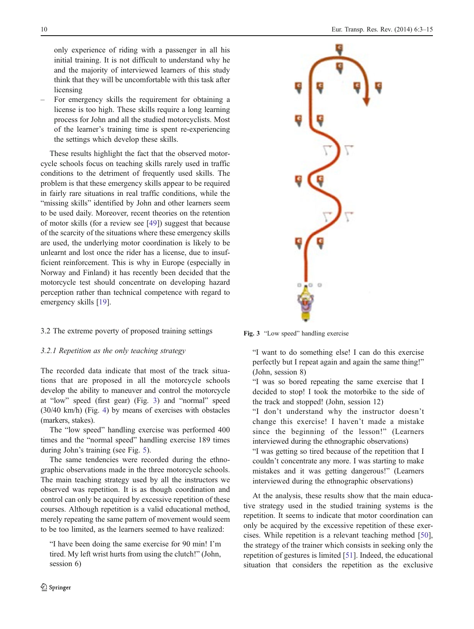only experience of riding with a passenger in all his initial training. It is not difficult to understand why he and the majority of interviewed learners of this study think that they will be uncomfortable with this task after licensing

– For emergency skills the requirement for obtaining a license is too high. These skills require a long learning process for John and all the studied motorcyclists. Most of the learner's training time is spent re-experiencing the settings which develop these skills.

These results highlight the fact that the observed motorcycle schools focus on teaching skills rarely used in traffic conditions to the detriment of frequently used skills. The problem is that these emergency skills appear to be required in fairly rare situations in real traffic conditions, while the "missing skills" identified by John and other learners seem to be used daily. Moreover, recent theories on the retention of motor skills (for a review see [\[49](#page-11-0)]) suggest that because of the scarcity of the situations where these emergency skills are used, the underlying motor coordination is likely to be unlearnt and lost once the rider has a license, due to insufficient reinforcement. This is why in Europe (especially in Norway and Finland) it has recently been decided that the motorcycle test should concentrate on developing hazard perception rather than technical competence with regard to emergency skills [\[19](#page-11-0)].

# 3.2 The extreme poverty of proposed training settings

# 3.2.1 Repetition as the only teaching strategy

The recorded data indicate that most of the track situations that are proposed in all the motorcycle schools develop the ability to maneuver and control the motorcycle at "low" speed (first gear) (Fig. 3) and "normal" speed (30/40 km/h) (Fig. [4\)](#page-8-0) by means of exercises with obstacles (markers, stakes).

The "low speed" handling exercise was performed 400 times and the "normal speed" handling exercise 189 times during John's training (see Fig. [5](#page-9-0)).

The same tendencies were recorded during the ethnographic observations made in the three motorcycle schools. The main teaching strategy used by all the instructors we observed was repetition. It is as though coordination and control can only be acquired by excessive repetition of these courses. Although repetition is a valid educational method, merely repeating the same pattern of movement would seem to be too limited, as the learners seemed to have realized:

"I have been doing the same exercise for 90 min! I'm tired. My left wrist hurts from using the clutch!" (John, session 6)



Fig. 3 "Low speed" handling exercise

"I want to do something else! I can do this exercise perfectly but I repeat again and again the same thing!" (John, session 8)

"I was so bored repeating the same exercise that I decided to stop! I took the motorbike to the side of the track and stopped! (John, session 12)

"I don't understand why the instructor doesn't change this exercise! I haven't made a mistake since the beginning of the lesson!" (Learners interviewed during the ethnographic observations) "I was getting so tired because of the repetition that I couldn't concentrate any more. I was starting to make mistakes and it was getting dangerous!" (Learners interviewed during the ethnographic observations)

At the analysis, these results show that the main educative strategy used in the studied training systems is the repetition. It seems to indicate that motor coordination can only be acquired by the excessive repetition of these exercises. While repetition is a relevant teaching method [[50\]](#page-12-0), the strategy of the trainer which consists in seeking only the repetition of gestures is limited [\[51](#page-12-0)]. Indeed, the educational situation that considers the repetition as the exclusive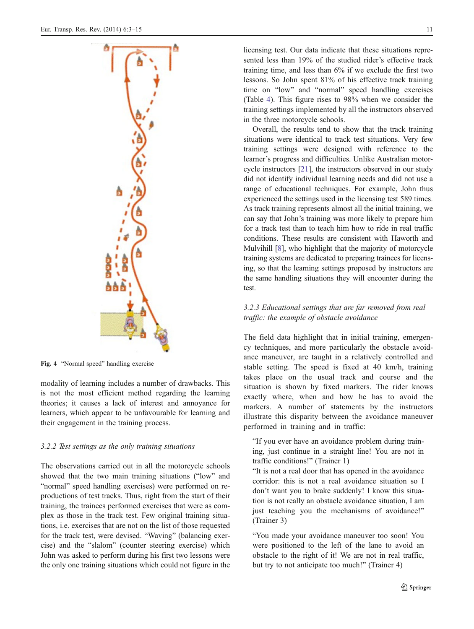<span id="page-8-0"></span>

Fig. 4 "Normal speed" handling exercise

modality of learning includes a number of drawbacks. This is not the most efficient method regarding the learning theories; it causes a lack of interest and annoyance for learners, which appear to be unfavourable for learning and their engagement in the training process.

# 3.2.2 Test settings as the only training situations

The observations carried out in all the motorcycle schools showed that the two main training situations ("low" and "normal" speed handling exercises) were performed on reproductions of test tracks. Thus, right from the start of their training, the trainees performed exercises that were as complex as those in the track test. Few original training situations, i.e. exercises that are not on the list of those requested for the track test, were devised. "Waving" (balancing exercise) and the "slalom" (counter steering exercise) which John was asked to perform during his first two lessons were the only one training situations which could not figure in the

licensing test. Our data indicate that these situations represented less than 19% of the studied rider's effective track training time, and less than 6% if we exclude the first two lessons. So John spent 81% of his effective track training time on "low" and "normal" speed handling exercises (Table [4](#page-9-0)). This figure rises to 98% when we consider the training settings implemented by all the instructors observed in the three motorcycle schools.

Overall, the results tend to show that the track training situations were identical to track test situations. Very few training settings were designed with reference to the learner's progress and difficulties. Unlike Australian motorcycle instructors [[21\]](#page-11-0), the instructors observed in our study did not identify individual learning needs and did not use a range of educational techniques. For example, John thus experienced the settings used in the licensing test 589 times. As track training represents almost all the initial training, we can say that John's training was more likely to prepare him for a track test than to teach him how to ride in real traffic conditions. These results are consistent with Haworth and Mulvihill [\[8\]](#page-11-0), who highlight that the majority of motorcycle training systems are dedicated to preparing trainees for licensing, so that the learning settings proposed by instructors are the same handling situations they will encounter during the test.

# 3.2.3 Educational settings that are far removed from real traffic: the example of obstacle avoidance

The field data highlight that in initial training, emergency techniques, and more particularly the obstacle avoidance maneuver, are taught in a relatively controlled and stable setting. The speed is fixed at 40 km/h, training takes place on the usual track and course and the situation is shown by fixed markers. The rider knows exactly where, when and how he has to avoid the markers. A number of statements by the instructors illustrate this disparity between the avoidance maneuver performed in training and in traffic:

"If you ever have an avoidance problem during training, just continue in a straight line! You are not in traffic conditions!" (Trainer 1)

"It is not a real door that has opened in the avoidance corridor: this is not a real avoidance situation so I don't want you to brake suddenly! I know this situation is not really an obstacle avoidance situation, I am just teaching you the mechanisms of avoidance!" (Trainer 3)

"You made your avoidance maneuver too soon! You were positioned to the left of the lane to avoid an obstacle to the right of it! We are not in real traffic, but try to not anticipate too much!" (Trainer 4)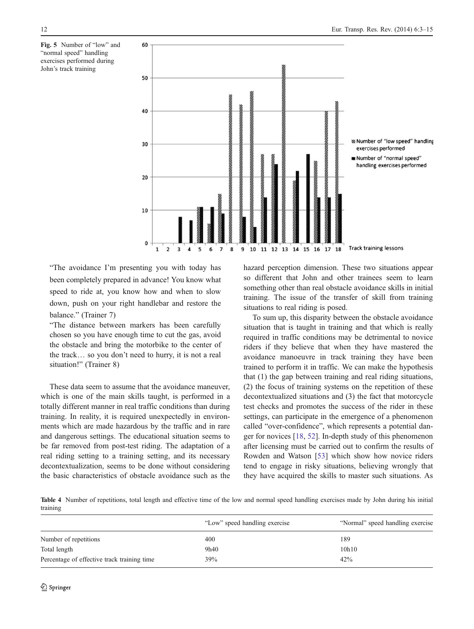<span id="page-9-0"></span>Fig. 5 Number of "low" and "normal speed" handling exercises performed during John's track training



"The avoidance I'm presenting you with today has been completely prepared in advance! You know what speed to ride at, you know how and when to slow down, push on your right handlebar and restore the balance." (Trainer 7)

"The distance between markers has been carefully chosen so you have enough time to cut the gas, avoid the obstacle and bring the motorbike to the center of the track… so you don't need to hurry, it is not a real situation!" (Trainer 8)

These data seem to assume that the avoidance maneuver, which is one of the main skills taught, is performed in a totally different manner in real traffic conditions than during training. In reality, it is required unexpectedly in environments which are made hazardous by the traffic and in rare and dangerous settings. The educational situation seems to be far removed from post-test riding. The adaptation of a real riding setting to a training setting, and its necessary decontextualization, seems to be done without considering the basic characteristics of obstacle avoidance such as the

hazard perception dimension. These two situations appear so different that John and other trainees seem to learn something other than real obstacle avoidance skills in initial training. The issue of the transfer of skill from training situations to real riding is posed.

To sum up, this disparity between the obstacle avoidance situation that is taught in training and that which is really required in traffic conditions may be detrimental to novice riders if they believe that when they have mastered the avoidance manoeuvre in track training they have been trained to perform it in traffic. We can make the hypothesis that (1) the gap between training and real riding situations, (2) the focus of training systems on the repetition of these decontextualized situations and (3) the fact that motorcycle test checks and promotes the success of the rider in these settings, can participate in the emergence of a phenomenon called "over-confidence", which represents a potential danger for novices [[18](#page-11-0), [52\]](#page-12-0). In-depth study of this phenomenon after licensing must be carried out to confirm the results of Rowden and Watson [[53\]](#page-12-0) which show how novice riders tend to engage in risky situations, believing wrongly that they have acquired the skills to master such situations. As

Table 4 Number of repetitions, total length and effective time of the low and normal speed handling exercises made by John during his initial training

|                                             | "Low" speed handling exercise | "Normal" speed handling exercise |
|---------------------------------------------|-------------------------------|----------------------------------|
| Number of repetitions                       | 400                           | 189                              |
| Total length                                | 9h40                          | 10h10                            |
| Percentage of effective track training time | 39%                           | 42%                              |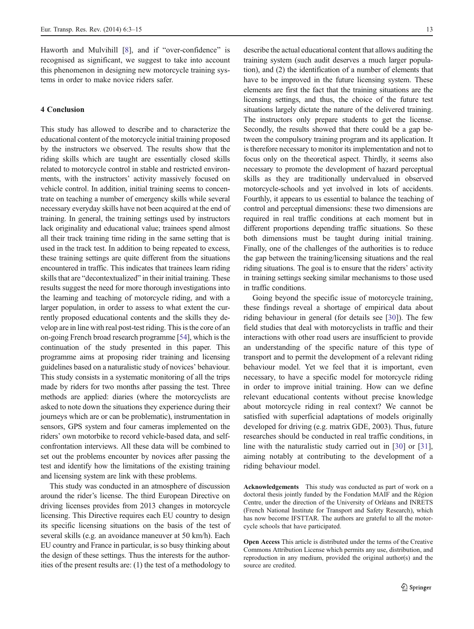Haworth and Mulvihill [[8\]](#page-11-0), and if "over-confidence" is recognised as significant, we suggest to take into account this phenomenon in designing new motorcycle training systems in order to make novice riders safer.

# 4 Conclusion

This study has allowed to describe and to characterize the educational content of the motorcycle initial training proposed by the instructors we observed. The results show that the riding skills which are taught are essentially closed skills related to motorcycle control in stable and restricted environments, with the instructors' activity massively focused on vehicle control. In addition, initial training seems to concentrate on teaching a number of emergency skills while several necessary everyday skills have not been acquired at the end of training. In general, the training settings used by instructors lack originality and educational value; trainees spend almost all their track training time riding in the same setting that is used in the track test. In addition to being repeated to excess, these training settings are quite different from the situations encountered in traffic. This indicates that trainees learn riding skills that are "decontextualized" in their initial training. These results suggest the need for more thorough investigations into the learning and teaching of motorcycle riding, and with a larger population, in order to assess to what extent the currently proposed educational contents and the skills they develop are in line with real post-test riding. This is the core of an on-going French broad research programme [\[54](#page-12-0)], which is the continuation of the study presented in this paper. This programme aims at proposing rider training and licensing guidelines based on a naturalistic study of novices' behaviour. This study consists in a systematic monitoring of all the trips made by riders for two months after passing the test. Three methods are applied: diaries (where the motorcyclists are asked to note down the situations they experience during their journeys which are or can be problematic), instrumentation in sensors, GPS system and four cameras implemented on the riders' own motorbike to record vehicle-based data, and selfconfrontation interviews. All these data will be combined to set out the problems encounter by novices after passing the test and identify how the limitations of the existing training and licensing system are link with these problems.

This study was conducted in an atmosphere of discussion around the rider's license. The third European Directive on driving licenses provides from 2013 changes in motorcycle licensing. This Directive requires each EU country to design its specific licensing situations on the basis of the test of several skills (e.g. an avoidance maneuver at 50 km/h). Each EU country and France in particular, is so busy thinking about the design of these settings. Thus the interests for the authorities of the present results are: (1) the test of a methodology to

describe the actual educational content that allows auditing the training system (such audit deserves a much larger population), and (2) the identification of a number of elements that have to be improved in the future licensing system. These elements are first the fact that the training situations are the licensing settings, and thus, the choice of the future test situations largely dictate the nature of the delivered training. The instructors only prepare students to get the license. Secondly, the results showed that there could be a gap between the compulsory training program and its application. It is therefore necessary to monitor its implementation and not to focus only on the theoretical aspect. Thirdly, it seems also necessary to promote the development of hazard perceptual skills as they are traditionally undervalued in observed motorcycle-schools and yet involved in lots of accidents. Fourthly, it appears to us essential to balance the teaching of control and perceptual dimensions: these two dimensions are required in real traffic conditions at each moment but in different proportions depending traffic situations. So these both dimensions must be taught during initial training. Finally, one of the challenges of the authorities is to reduce the gap between the training/licensing situations and the real riding situations. The goal is to ensure that the riders' activity in training settings seeking similar mechanisms to those used in traffic conditions.

Going beyond the specific issue of motorcycle training, these findings reveal a shortage of empirical data about riding behaviour in general (for details see [[30\]](#page-11-0)). The few field studies that deal with motorcyclists in traffic and their interactions with other road users are insufficient to provide an understanding of the specific nature of this type of transport and to permit the development of a relevant riding behaviour model. Yet we feel that it is important, even necessary, to have a specific model for motorcycle riding in order to improve initial training. How can we define relevant educational contents without precise knowledge about motorcycle riding in real context? We cannot be satisfied with superficial adaptations of models originally developed for driving (e.g. matrix GDE, 2003). Thus, future researches should be conducted in real traffic conditions, in line with the naturalistic study carried out in [\[30](#page-11-0)] or [[31\]](#page-11-0), aiming notably at contributing to the development of a riding behaviour model.

Acknowledgements This study was conducted as part of work on a doctoral thesis jointly funded by the Fondation MAIF and the Région Centre, under the direction of the University of Orléans and INRETS (French National Institute for Transport and Safety Research), which has now become IFSTTAR. The authors are grateful to all the motorcycle schools that have participated.

Open Access This article is distributed under the terms of the Creative Commons Attribution License which permits any use, distribution, and reproduction in any medium, provided the original author(s) and the source are credited.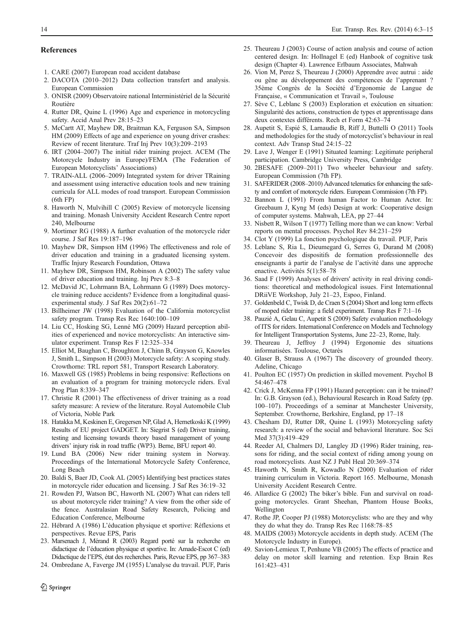# <span id="page-11-0"></span>References

- 1. CARE (2007) European road accident database
- 2. DACOTA (2010–2012) Data collection transfert and analysis. European Commission
- 3. ONISR (2009) Observatoire national Interministériel de la Sécurité Routière
- 4. Rutter DR, Quine L (1996) Age and experience in motorcycling safety. Accid Anal Prev 28:15–23
- 5. McCartt AT, Mayhew DR, Braitman KA, Ferguson SA, Simpson HM (2009) Effects of age and experience on young driver crashes: Review of recent literature. Traf Inj Prev 10(3):209–2193
- 6. IRT (2004–2007) The initial rider training project. ACEM (The Motorcycle Industry in Europe)/FEMA (The Federation of European Motorcyclists' Associations)
- 7. TRAIN-ALL (2006–2009) Integrated system for driver TRaining and assessment using interactive education tools and new training curricula for ALL modes of road transport. European Commission (6th FP)
- 8. Haworth N, Mulvihill C (2005) Review of motorcycle licensing and training. Monash University Accident Research Centre report 240, Melbourne
- 9. Mortimer RG (1988) A further evaluation of the motorcycle rider course. J Saf Res 19:187–196
- 10. Mayhew DR, Simpson HM (1996) The effectiveness and role of driver education and training in a graduated licensing system. Traffic Injury Research Foundation, Ottawa
- 11. Mayhew DR, Simpson HM, Robinson A (2002) The safety value of driver education and training. Inj Prev 8:3–8
- 12. McDavid JC, Lohrmann BA, Lohrmann G (1989) Does motorcycle training reduce accidents? Evidence from a longitudinal quasiexperimental study. J Saf Res 20(2):61–72
- 13. Billheimer JW (1998) Evaluation of the California motorcyclist safety program. Transp Res Rec 1640:100–109
- 14. Liu CC, Hosking SG, Lenné MG (2009) Hazard perception abilities of experienced and novice motorcyclists: An interactive simulator experiment. Transp Res F 12:325–334
- 15. Elliot M, Baughan C, Broughton J, Chinn B, Grayson G, Knowles J, Smith L, Simpson H (2003) Motorcycle safety: A scoping study. Crowthorne: TRL report 581, Transport Research Laboratory.
- 16. Maxwell GS (1985) Problems in being responsive: Reflections on an evaluation of a program for training motorcycle riders. Eval Prog Plan 8:339–347
- 17. Christie R (2001) The effectiveness of driver training as a road safety measure: A review of the literature. Royal Automobile Club of Victoria, Noble Park
- 18. Hatakka M, Keskinen E, Gregersen NP, Glad A, Hernetkoski K (1999) Results of EU project GADGET. In: Siegrist S (ed) Driver training, testing and licensing towards theory based management of young drivers' injury risk in road traffic (WP3). Berne, BFU report 40.
- 19. Lund BA (2006) New rider training system in Norway. Proceedings of the International Motorcycle Safety Conference, Long Beach
- 20. Baldi S, Baer JD, Cook AL (2005) Identifying best practices states in motorcycle rider education and licensing. J Saf Res 36:19–32
- 21. Rowden PJ, Watson BC, Haworth NL (2007) What can riders tell us about motorcycle rider training? A view from the other side of the fence. Australasian Road Safety Research, Policing and Education Conference, Melbourne
- 22. Hébrard A (1986) L'éducation physique et sportive: Réflexions et perspectives. Revue EPS, Paris
- 23. Marsenach J, Mérand R (2003) Regard porté sur la recherche en didactique de l'éducation physique et sportive. In: Amade-Escot C (ed) Didactique de l'EPS, état des recherches. Paris, Revue EPS, pp 367–383
- 24. Ombredane A, Faverge JM (1955) L'analyse du travail. PUF, Paris
- 25. Theureau J (2003) Course of action analysis and course of action centered design. In: Hollnagel E (ed) Hanbook of cognitive task design (Chapter 4). Lawrence Erlbaum Associates, Mahwah
- 26. Vion M, Perez S, Theureau J (2000) Apprendre avec autrui : aide ou gêne au développement des compétences de l'apprenant ? 35ème Congrès de la Société d'Ergonomie de Langue de Française, « Communication et Travail », Toulouse
- 27. Sève C, Leblanc S (2003) Exploration et exécution en situation: Singularité des actions, construction de types et apprentissage dans deux contextes différents. Rech et Form 42:63–74
- 28. Aupetit S, Espié S, Larnaudie B, Riff J, Buttelli O (2011) Tools and methodologies for the study of motorcyclist's behaviour in real context. Adv Transp Stud 24:15–22
- 29. Lave J, Wenger E (1991) Situated learning: Legitimate peripheral participation. Cambridge University Press, Cambridge
- 30. 2BESAFE (2009–2011) Two wheeler behaviour and safety. European Commission (7th FP).
- 31. SAFERIDER (2008–2010) Advanced telematics for enhancing the safety and comfort of motorcycle riders. European Commission (7th FP).
- 32. Bannon L (1991) From human Factor to Human Actor. In: Greebaum J, Kyng M (eds) Design at work: Cooperative design of computer systems. Mahwah, LEA, pp 27–44
- 33. Nisbett R, Wilson T (1977) Telling more than we can know: Verbal reports on mental processes. Psychol Rev 84:231–259
- 34. Clot Y (1999) La fonction psychologique du travail. PUF, Paris
- 35. Leblanc S, Ria L, Dieumegard G, Serres G, Durand M (2008) Concevoir des dispositifs de formation professionnelle des enseignants à partir de l'analyse de l'activité dans une approche enactive. Activités 5(1):58–78
- 36. Saad F (1999) Analyses of drivers' activity in real driving conditions: theoretical and methodological issues. First Internationnal DRiiVE Workshop, July 21–23, Espoo, Finland.
- 37. Goldenbeld C, Twisk D, de Craen S (2004) Short and long term effects of moped rider training: a field experiment. Transp Res F 7:1–16
- 38. Pauzié A, Gelau C, Aupetit S (2009) Safety evaluation methodology of ITS for riders. International Conference on Models and Technology for Intelligent Transportation Systems, June 22–23, Rome, Italy.
- 39. Theureau J, Jeffroy J (1994) Ergonomie des situations informatisées. Toulouse, Octarès
- 40. Glaser B, Strauss A (1967) The discovery of grounded theory. Adeline, Chicago
- 41. Poulton EC (1957) On prediction in skilled movement. Psychol B 54:467–478
- 42. Crick J, McKenna FP (1991) Hazard perception: can it be trained? In: G.B. Grayson (ed.), Behavioural Research in Road Safety (pp. 100–107). Proceedings of a seminar at Manchester University, September. Crowthorne, Berkshire, England, pp 17–18
- 43. Chesham DJ, Rutter DR, Quine L (1993) Motorcycling safety research: a review of the social and behavioral literature. Soc Sci Med 37(3):419–429
- 44. Reeder AI, Chalmers DJ, Langley JD (1996) Rider training, reasons for riding, and the social context of riding among young on road motorcyclists. Aust NZ J Publ Heal 20:369–374
- 45. Haworth N, Smith R, Kowadlo N (2000) Evaluation of rider training curriculum in Victoria. Report 165. Melbourne, Monash University Accident Research Centre.
- 46. Allardice G (2002) The biker's bible. Fun and survival on roadgoing motorcycles. Grant Sheehan, Phantom House Books, Wellington
- 47. Rothe JP, Cooper PJ (1988) Motorcyclists: who are they and why they do what they do. Transp Res Rec 1168:78–85
- 48. MAIDS (2003) Motorcycle accidents in depth study. ACEM (The Motorcycle Industry in Europe).
- 49. Savion-Lemieux T, Penhune VB (2005) The effects of practice and delay on motor skill learning and retention. Exp Brain Res 161:423–431